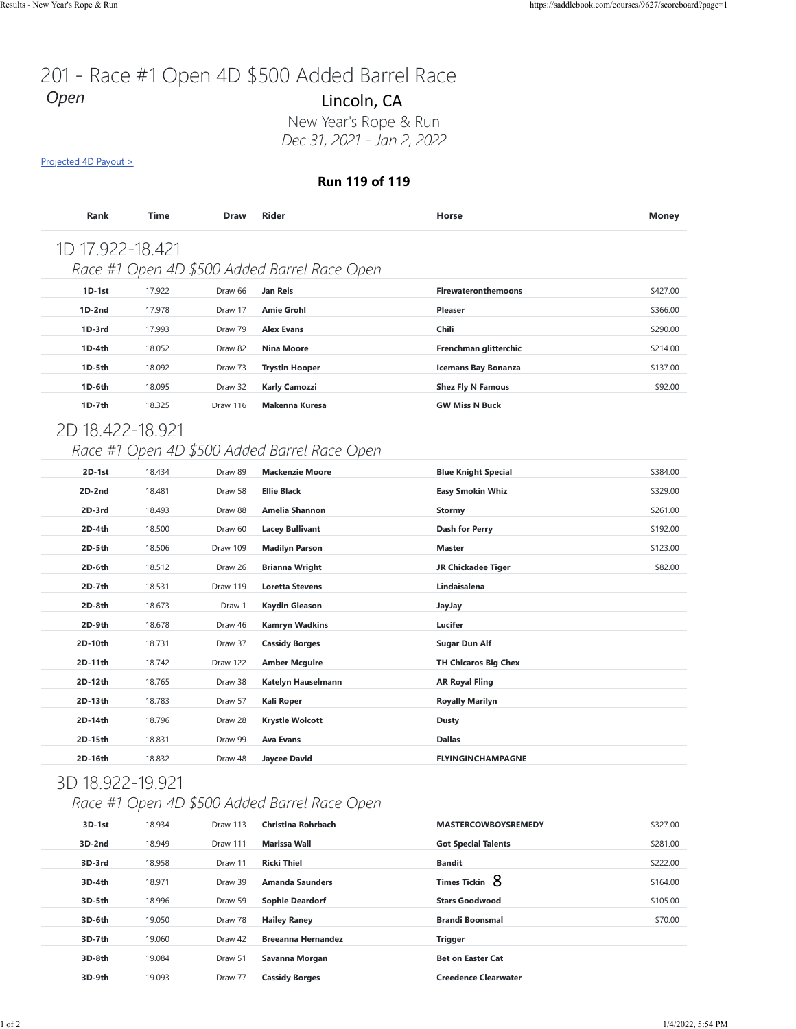# 201 - Race #1 Open 4D \$500 Added Barrel Race *Open*

#### **Run 119 of 119**

| <b>Rank</b>      | Time   | <b>Draw</b> | <b>Rider</b>                                 | Horse                      | <b>Money</b> |
|------------------|--------|-------------|----------------------------------------------|----------------------------|--------------|
| 1D 17.922-18.421 |        |             |                                              |                            |              |
|                  |        |             | Race #1 Open 4D \$500 Added Barrel Race Open |                            |              |
| $1D-1st$         | 17.922 | Draw 66     | Jan Reis                                     | <b>Firewateronthemoons</b> | \$427.00     |
| $1D-2nd$         | 17.978 | Draw 17     | <b>Amie Grohl</b>                            | <b>Pleaser</b>             | \$366.00     |
| $1D-3rd$         | 17.993 | Draw 79     | <b>Alex Evans</b>                            | Chili                      | \$290.00     |
| $1D-4th$         | 18.052 | Draw 82     | <b>Nina Moore</b>                            | Frenchman glitterchic      | \$214.00     |
| $1D-5th$         | 18.092 | Draw 73     | <b>Trystin Hooper</b>                        | <b>Icemans Bay Bonanza</b> | \$137.00     |
| 1D-6th           | 18.095 | Draw 32     | <b>Karly Camozzi</b>                         | <b>Shez Fly N Famous</b>   | \$92.00      |
| $1D-7th$         | 18.325 | Draw 116    | Makenna Kuresa                               | <b>GW Miss N Buck</b>      |              |
|                  |        |             |                                              |                            |              |

## 2D 18.422-18.921

### *Race #1 Open 4D \$500 Added Barrel Race Open*

| Projected 4D Payout > |        |             | Dec 31, 2021 - Jan 2, 2022                   |                             |              |
|-----------------------|--------|-------------|----------------------------------------------|-----------------------------|--------------|
|                       |        |             | Run 119 of 119                               |                             |              |
| Rank                  | Time   | <b>Draw</b> | <b>Rider</b>                                 | Horse                       | <b>Money</b> |
| 1D 17.922-18.421      |        |             |                                              |                             |              |
|                       |        |             | Race #1 Open 4D \$500 Added Barrel Race Open |                             |              |
| $1D-1st$              | 17.922 | Draw 66     | <b>Jan Reis</b>                              | <b>Firewateronthemoons</b>  | \$427.00     |
| 1D-2nd                | 17.978 | Draw 17     | <b>Amie Grohl</b>                            | <b>Pleaser</b>              | \$366.00     |
| 1D-3rd                | 17.993 | Draw 79     | <b>Alex Evans</b>                            | Chili                       | \$290.00     |
| 1D-4th                | 18.052 | Draw 82     | <b>Nina Moore</b>                            | Frenchman glitterchic       | \$214.00     |
| 1D-5th                | 18.092 | Draw 73     | <b>Trystin Hooper</b>                        | <b>Icemans Bay Bonanza</b>  | \$137.00     |
| $1D-6th$              | 18.095 | Draw 32     | Karly Camozzi                                | <b>Shez Fly N Famous</b>    | \$92.00      |
| 1D-7th                | 18.325 | Draw 116    | Makenna Kuresa                               | <b>GW Miss N Buck</b>       |              |
|                       |        |             |                                              |                             |              |
| 2D 18.422-18.921      |        |             |                                              |                             |              |
|                       |        |             | Race #1 Open 4D \$500 Added Barrel Race Open |                             |              |
| 2D-1st                | 18.434 | Draw 89     | <b>Mackenzie Moore</b>                       | <b>Blue Knight Special</b>  | \$384.00     |
| 2D-2nd                | 18.481 | Draw 58     | <b>Ellie Black</b>                           | <b>Easy Smokin Whiz</b>     | \$329.00     |
| 2D-3rd                | 18.493 | Draw 88     | Amelia Shannon                               | <b>Stormy</b>               | \$261.00     |
| 2D-4th                | 18.500 | Draw 60     | <b>Lacey Bullivant</b>                       | <b>Dash for Perry</b>       | \$192.00     |
| 2D-5th                | 18.506 | Draw 109    | <b>Madilyn Parson</b>                        | <b>Master</b>               | \$123.00     |
| 2D-6th                | 18.512 | Draw 26     | <b>Brianna Wright</b>                        | <b>JR Chickadee Tiger</b>   | \$82.00      |
| 2D-7th                | 18.531 | Draw 119    | <b>Loretta Stevens</b>                       | Lindaisalena                |              |
| 2D-8th                | 18.673 | Draw 1      | Kaydin Gleason                               | JayJay                      |              |
| 2D-9th                | 18.678 | Draw 46     | Kamryn Wadkins                               | Lucifer                     |              |
| 2D-10th               | 18.731 | Draw 37     | <b>Cassidy Borges</b>                        | Sugar Dun Alf               |              |
| 2D-11th               | 18.742 | Draw 122    | Amber Mcguire                                | <b>TH Chicaros Big Chex</b> |              |
| 2D-12th               | 18.765 | Draw 38     | Katelyn Hauselmann                           | <b>AR Royal Fling</b>       |              |
| 2D-13th               | 18.783 | Draw 57     | Kali Roper                                   | <b>Royally Marilyn</b>      |              |
| 2D-14th               | 18.796 | Draw 28     | <b>Krystle Wolcott</b>                       | <b>Dusty</b>                |              |
| 2D-15th               | 18.831 | Draw 99     | <b>Ava Evans</b>                             | <b>Dallas</b>               |              |
| 2D-16th               | 18.832 | Draw 48     | <b>Jaycee David</b>                          | <b>FLYINGINCHAMPAGNE</b>    |              |
| 3D 18.922-19.921      |        |             |                                              |                             |              |
|                       |        |             | Race #1 Open 4D \$500 Added Barrel Race Open |                             |              |
| 3D-1st                | 18.934 | Draw 113    | <b>Christina Rohrbach</b>                    | <b>MASTERCOWBOYSREMEDY</b>  | \$327.00     |
| 3D-2nd                | 18.949 | Draw 111    | <b>Marissa Wall</b>                          | <b>Got Special Talents</b>  | \$281.00     |
| 3D-3rd                | 18.958 | Draw 11     | <b>Ricki Thiel</b>                           | <b>Bandit</b>               | \$222.00     |
| 3D-4th                | 18.971 | Draw 39     | <b>Amanda Saunders</b>                       | Times Tickin 8              | \$164.00     |
| 3D-5th                | 18.996 | Draw 59     | <b>Sophie Deardorf</b>                       | <b>Stars Goodwood</b>       | \$105.00     |
| 3D-6th                | 19.050 | Draw 78     | <b>Hailey Raney</b>                          | <b>Brandi Boonsmal</b>      | \$70.00      |
| 3D-7th                | 19.060 | Draw 42     | <b>Breeanna Hernandez</b>                    | <b>Trigger</b>              |              |
| 3D-8th                | 19.084 | Draw 51     | Savanna Morgan                               | <b>Bet on Easter Cat</b>    |              |
| 3D-9th                | 19.093 | Draw 77     | <b>Cassidy Borges</b>                        | <b>Creedence Clearwater</b> |              |

## 3D 18.922-19.921

### *Race #1 Open 4D \$500 Added Barrel Race Open*

| 3D-1st   | 18.934 | Draw 113 | Christina Rohrbach        | <b>MASTERCOWBOYSREMEDY</b>  | \$327.00 |
|----------|--------|----------|---------------------------|-----------------------------|----------|
| $3D-2nd$ | 18.949 | Draw 111 | Marissa Wall              | <b>Got Special Talents</b>  | \$281.00 |
| 3D-3rd   | 18.958 | Draw 11  | <b>Ricki Thiel</b>        | <b>Bandit</b>               | \$222.00 |
| 3D-4th   | 18.971 | Draw 39  | <b>Amanda Saunders</b>    | Times Tickin 8              | \$164.00 |
| 3D-5th   | 18.996 | Draw 59  | <b>Sophie Deardorf</b>    | <b>Stars Goodwood</b>       | \$105.00 |
| 3D-6th   | 19.050 | Draw 78  | <b>Hailey Raney</b>       | <b>Brandi Boonsmal</b>      | \$70.00  |
| 3D-7th   | 19.060 | Draw 42  | <b>Breeanna Hernandez</b> | <b>Trigger</b>              |          |
| 3D-8th   | 19.084 | Draw 51  | Savanna Morgan            | <b>Bet on Easter Cat</b>    |          |
| 3D-9th   | 19.093 | Draw 77  | <b>Cassidy Borges</b>     | <b>Creedence Clearwater</b> |          |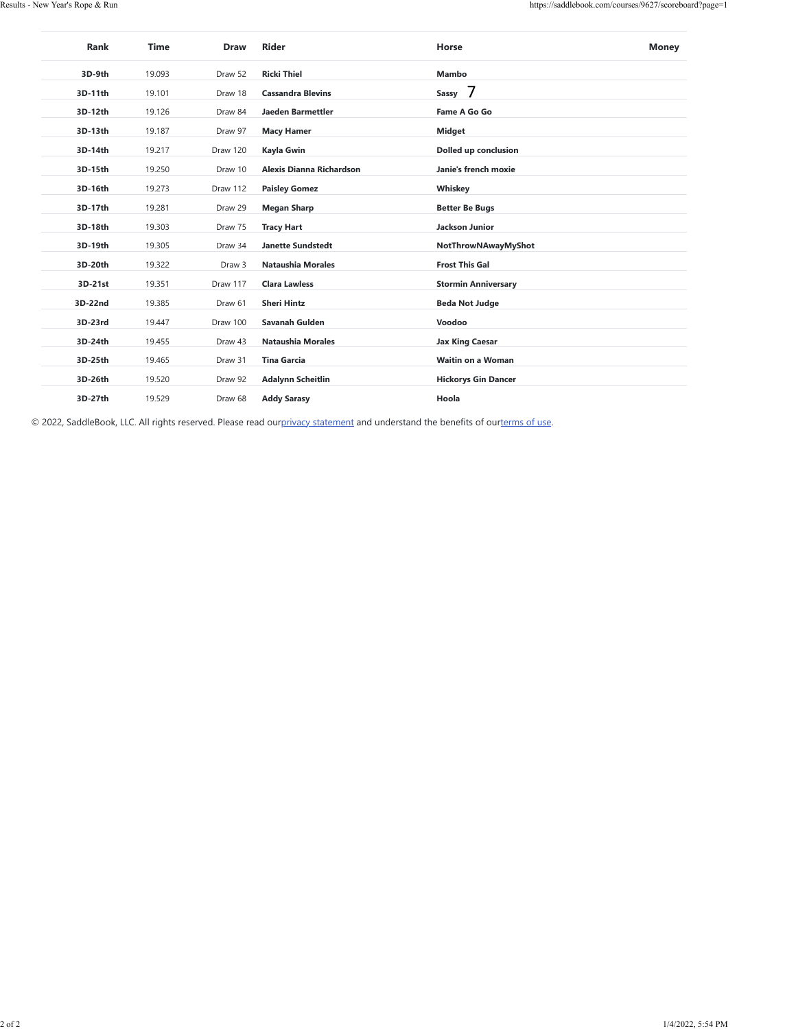| <b>Ricki Thiel</b><br>Mambo<br>3D-9th<br>19.093<br>Draw 52<br>Sassy 7<br>3D-11th<br>19.101<br><b>Cassandra Blevins</b><br>Draw 18<br>3D-12th<br>19.126<br>Draw 84<br>Jaeden Barmettler<br>Fame A Go Go<br>3D-13th<br>19.187<br>Draw 97<br><b>Macy Hamer</b><br><b>Midget</b><br>3D-14th<br>19.217<br>Draw 120<br>Kayla Gwin<br>Dolled up conclusion<br>19.250<br>Alexis Dianna Richardson<br>3D-15th<br>Draw 10<br>Janie's french moxie<br>3D-16th<br>19.273<br>Draw 112<br>Whiskey<br><b>Paisley Gomez</b><br>3D-17th<br>19.281<br>Draw 29<br><b>Megan Sharp</b><br><b>Better Be Bugs</b><br>3D-18th<br>19.303<br>Draw 75<br><b>Tracy Hart</b><br>Jackson Junior<br>3D-19th<br>19.305<br>Draw 34<br><b>Janette Sundstedt</b><br>NotThrowNAwayMyShot<br>19.322<br><b>Frost This Gal</b><br>3D-20th<br>Draw 3<br>Nataushia Morales<br>3D-21st<br>19.351<br>Draw 117<br><b>Clara Lawless</b><br><b>Stormin Anniversary</b><br>3D-22nd<br>19.385<br>Draw 61<br><b>Sheri Hintz</b><br><b>Beda Not Judge</b><br>3D-23rd<br>Voodoo<br>19.447<br>Draw 100<br>Savanah Gulden<br>3D-24th<br>19.455<br>Draw 43<br>Nataushia Morales<br><b>Jax King Caesar</b><br>3D-25th<br>19.465<br>Draw 31<br><b>Tina Garcia</b><br>Waitin on a Woman<br>3D-26th<br>19.520<br>Draw 92<br><b>Adalynn Scheitlin</b><br><b>Hickorys Gin Dancer</b><br>3D-27th<br>19.529<br>Draw 68<br><b>Addy Sarasy</b><br>Hoola | © 2022, SaddleBook, LLC. All rights reserved. Please read ourprivacy statement and understand the benefits of ourterms of use.<br>1/4/2022, 5:54 PM |  |  |  |
|-----------------------------------------------------------------------------------------------------------------------------------------------------------------------------------------------------------------------------------------------------------------------------------------------------------------------------------------------------------------------------------------------------------------------------------------------------------------------------------------------------------------------------------------------------------------------------------------------------------------------------------------------------------------------------------------------------------------------------------------------------------------------------------------------------------------------------------------------------------------------------------------------------------------------------------------------------------------------------------------------------------------------------------------------------------------------------------------------------------------------------------------------------------------------------------------------------------------------------------------------------------------------------------------------------------------------------------------------------------------------------------------|-----------------------------------------------------------------------------------------------------------------------------------------------------|--|--|--|
|                                                                                                                                                                                                                                                                                                                                                                                                                                                                                                                                                                                                                                                                                                                                                                                                                                                                                                                                                                                                                                                                                                                                                                                                                                                                                                                                                                                         |                                                                                                                                                     |  |  |  |
|                                                                                                                                                                                                                                                                                                                                                                                                                                                                                                                                                                                                                                                                                                                                                                                                                                                                                                                                                                                                                                                                                                                                                                                                                                                                                                                                                                                         |                                                                                                                                                     |  |  |  |
|                                                                                                                                                                                                                                                                                                                                                                                                                                                                                                                                                                                                                                                                                                                                                                                                                                                                                                                                                                                                                                                                                                                                                                                                                                                                                                                                                                                         |                                                                                                                                                     |  |  |  |
|                                                                                                                                                                                                                                                                                                                                                                                                                                                                                                                                                                                                                                                                                                                                                                                                                                                                                                                                                                                                                                                                                                                                                                                                                                                                                                                                                                                         |                                                                                                                                                     |  |  |  |
|                                                                                                                                                                                                                                                                                                                                                                                                                                                                                                                                                                                                                                                                                                                                                                                                                                                                                                                                                                                                                                                                                                                                                                                                                                                                                                                                                                                         |                                                                                                                                                     |  |  |  |
|                                                                                                                                                                                                                                                                                                                                                                                                                                                                                                                                                                                                                                                                                                                                                                                                                                                                                                                                                                                                                                                                                                                                                                                                                                                                                                                                                                                         |                                                                                                                                                     |  |  |  |
|                                                                                                                                                                                                                                                                                                                                                                                                                                                                                                                                                                                                                                                                                                                                                                                                                                                                                                                                                                                                                                                                                                                                                                                                                                                                                                                                                                                         |                                                                                                                                                     |  |  |  |
|                                                                                                                                                                                                                                                                                                                                                                                                                                                                                                                                                                                                                                                                                                                                                                                                                                                                                                                                                                                                                                                                                                                                                                                                                                                                                                                                                                                         |                                                                                                                                                     |  |  |  |
|                                                                                                                                                                                                                                                                                                                                                                                                                                                                                                                                                                                                                                                                                                                                                                                                                                                                                                                                                                                                                                                                                                                                                                                                                                                                                                                                                                                         |                                                                                                                                                     |  |  |  |
|                                                                                                                                                                                                                                                                                                                                                                                                                                                                                                                                                                                                                                                                                                                                                                                                                                                                                                                                                                                                                                                                                                                                                                                                                                                                                                                                                                                         |                                                                                                                                                     |  |  |  |
|                                                                                                                                                                                                                                                                                                                                                                                                                                                                                                                                                                                                                                                                                                                                                                                                                                                                                                                                                                                                                                                                                                                                                                                                                                                                                                                                                                                         |                                                                                                                                                     |  |  |  |
|                                                                                                                                                                                                                                                                                                                                                                                                                                                                                                                                                                                                                                                                                                                                                                                                                                                                                                                                                                                                                                                                                                                                                                                                                                                                                                                                                                                         |                                                                                                                                                     |  |  |  |
|                                                                                                                                                                                                                                                                                                                                                                                                                                                                                                                                                                                                                                                                                                                                                                                                                                                                                                                                                                                                                                                                                                                                                                                                                                                                                                                                                                                         |                                                                                                                                                     |  |  |  |
|                                                                                                                                                                                                                                                                                                                                                                                                                                                                                                                                                                                                                                                                                                                                                                                                                                                                                                                                                                                                                                                                                                                                                                                                                                                                                                                                                                                         |                                                                                                                                                     |  |  |  |
|                                                                                                                                                                                                                                                                                                                                                                                                                                                                                                                                                                                                                                                                                                                                                                                                                                                                                                                                                                                                                                                                                                                                                                                                                                                                                                                                                                                         |                                                                                                                                                     |  |  |  |
|                                                                                                                                                                                                                                                                                                                                                                                                                                                                                                                                                                                                                                                                                                                                                                                                                                                                                                                                                                                                                                                                                                                                                                                                                                                                                                                                                                                         |                                                                                                                                                     |  |  |  |
|                                                                                                                                                                                                                                                                                                                                                                                                                                                                                                                                                                                                                                                                                                                                                                                                                                                                                                                                                                                                                                                                                                                                                                                                                                                                                                                                                                                         |                                                                                                                                                     |  |  |  |
|                                                                                                                                                                                                                                                                                                                                                                                                                                                                                                                                                                                                                                                                                                                                                                                                                                                                                                                                                                                                                                                                                                                                                                                                                                                                                                                                                                                         |                                                                                                                                                     |  |  |  |
|                                                                                                                                                                                                                                                                                                                                                                                                                                                                                                                                                                                                                                                                                                                                                                                                                                                                                                                                                                                                                                                                                                                                                                                                                                                                                                                                                                                         |                                                                                                                                                     |  |  |  |
|                                                                                                                                                                                                                                                                                                                                                                                                                                                                                                                                                                                                                                                                                                                                                                                                                                                                                                                                                                                                                                                                                                                                                                                                                                                                                                                                                                                         |                                                                                                                                                     |  |  |  |
|                                                                                                                                                                                                                                                                                                                                                                                                                                                                                                                                                                                                                                                                                                                                                                                                                                                                                                                                                                                                                                                                                                                                                                                                                                                                                                                                                                                         |                                                                                                                                                     |  |  |  |
|                                                                                                                                                                                                                                                                                                                                                                                                                                                                                                                                                                                                                                                                                                                                                                                                                                                                                                                                                                                                                                                                                                                                                                                                                                                                                                                                                                                         |                                                                                                                                                     |  |  |  |
|                                                                                                                                                                                                                                                                                                                                                                                                                                                                                                                                                                                                                                                                                                                                                                                                                                                                                                                                                                                                                                                                                                                                                                                                                                                                                                                                                                                         |                                                                                                                                                     |  |  |  |
|                                                                                                                                                                                                                                                                                                                                                                                                                                                                                                                                                                                                                                                                                                                                                                                                                                                                                                                                                                                                                                                                                                                                                                                                                                                                                                                                                                                         |                                                                                                                                                     |  |  |  |
|                                                                                                                                                                                                                                                                                                                                                                                                                                                                                                                                                                                                                                                                                                                                                                                                                                                                                                                                                                                                                                                                                                                                                                                                                                                                                                                                                                                         |                                                                                                                                                     |  |  |  |
|                                                                                                                                                                                                                                                                                                                                                                                                                                                                                                                                                                                                                                                                                                                                                                                                                                                                                                                                                                                                                                                                                                                                                                                                                                                                                                                                                                                         |                                                                                                                                                     |  |  |  |
|                                                                                                                                                                                                                                                                                                                                                                                                                                                                                                                                                                                                                                                                                                                                                                                                                                                                                                                                                                                                                                                                                                                                                                                                                                                                                                                                                                                         |                                                                                                                                                     |  |  |  |
|                                                                                                                                                                                                                                                                                                                                                                                                                                                                                                                                                                                                                                                                                                                                                                                                                                                                                                                                                                                                                                                                                                                                                                                                                                                                                                                                                                                         |                                                                                                                                                     |  |  |  |
|                                                                                                                                                                                                                                                                                                                                                                                                                                                                                                                                                                                                                                                                                                                                                                                                                                                                                                                                                                                                                                                                                                                                                                                                                                                                                                                                                                                         |                                                                                                                                                     |  |  |  |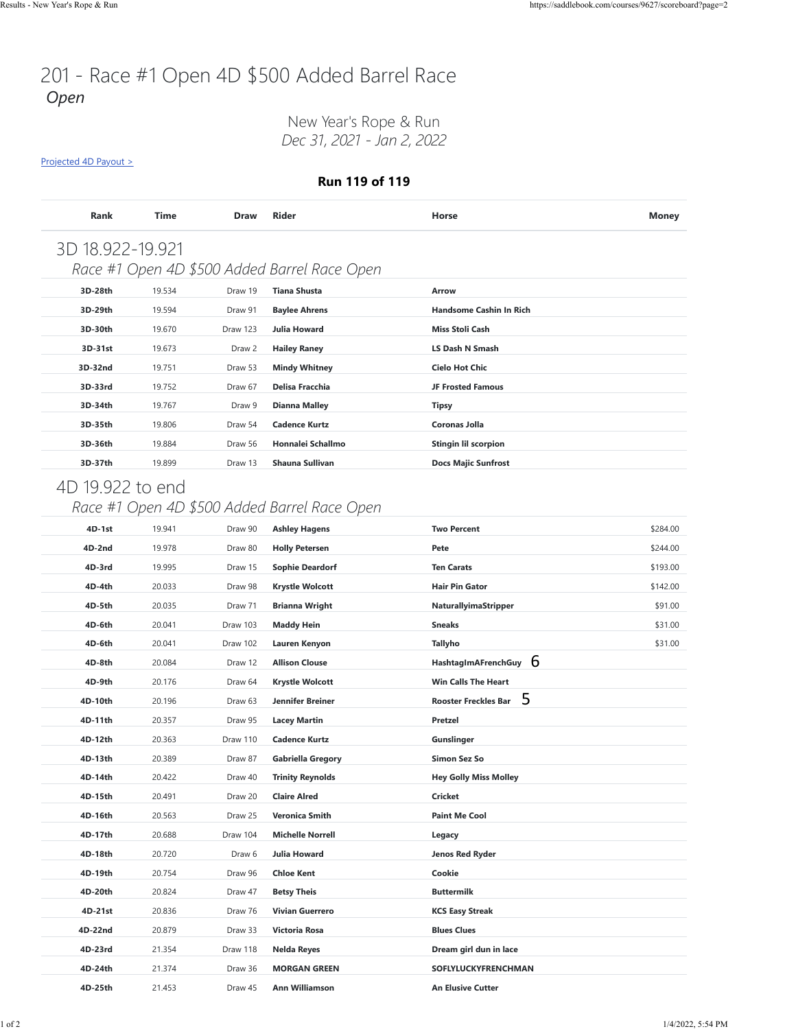## 201 - Race #1 Open 4D \$500 Added Barrel Race *Open*

New Year's Rope & Run *Dec 31, 2021 - Jan 2, 2022*

[Projected 4D Payout >](https://saddlebook.com/courses/9627/scoreboard?page=2#payout-projection-9627)

#### **Run 119 of 119**

| <b>Rank</b>      | Time   | <b>Draw</b> | <b>Rider</b>                                 | Horse                          | <b>Money</b> |
|------------------|--------|-------------|----------------------------------------------|--------------------------------|--------------|
| 3D 18.922-19.921 |        |             |                                              |                                |              |
|                  |        |             | Race #1 Open 4D \$500 Added Barrel Race Open |                                |              |
| 3D-28th          | 19.534 | Draw 19     | <b>Tiana Shusta</b>                          | Arrow                          |              |
| 3D-29th          | 19.594 | Draw 91     | <b>Baylee Ahrens</b>                         | <b>Handsome Cashin In Rich</b> |              |
| 3D-30th          | 19.670 | Draw 123    | <b>Julia Howard</b>                          | <b>Miss Stoli Cash</b>         |              |
| 3D-31st          | 19.673 | Draw 2      | <b>Hailey Raney</b>                          | <b>LS Dash N Smash</b>         |              |
| 3D-32nd          | 19.751 | Draw 53     | <b>Mindy Whitney</b>                         | <b>Cielo Hot Chic</b>          |              |
| 3D-33rd          | 19.752 | Draw 67     | Delisa Fracchia                              | <b>JF Frosted Famous</b>       |              |
| 3D-34th          | 19.767 | Draw 9      | <b>Dianna Malley</b>                         | Tipsy                          |              |
| 3D-35th          | 19.806 | Draw 54     | <b>Cadence Kurtz</b>                         | <b>Coronas Jolla</b>           |              |
| 3D-36th          | 19.884 | Draw 56     | Honnalei Schallmo                            | <b>Stingin lil scorpion</b>    |              |
| 3D-37th          | 19.899 | Draw 13     | Shauna Sullivan                              | <b>Docs Majic Sunfrost</b>     |              |

### 4D 19.922 to end

### *Race #1 Open 4D \$500 Added Barrel Race Open*

| 4D-2nd<br>19.978<br>\$244.00<br>Draw 80<br><b>Holly Petersen</b><br>Pete<br>4D-3rd<br>19.995<br><b>Sophie Deardorf</b><br><b>Ten Carats</b><br>\$193.00<br>Draw 15<br>4D-4th<br>20.033<br><b>Krystle Wolcott</b><br><b>Hair Pin Gator</b><br>\$142.00<br>Draw 98<br>4D-5th<br>20.035<br><b>Brianna Wright</b><br>NaturallyimaStripper<br>\$91.00<br>Draw 71<br>4D-6th<br>20.041<br>Draw 103<br><b>Sneaks</b><br>\$31.00<br><b>Maddy Hein</b><br>4D-6th<br>20.041<br>Draw 102<br>Tallyho<br>\$31.00<br>Lauren Kenyon<br>HashtagImAFrenchGuy $6$<br>4D-8th<br>20.084<br>Draw 12<br><b>Allison Clouse</b><br><b>Win Calls The Heart</b><br>4D-9th<br>20.176<br><b>Krystle Wolcott</b><br>Draw 64<br>5<br><b>Rooster Freckles Bar</b><br>4D-10th<br>20.196<br>Jennifer Breiner<br>Draw 63<br>4D-11th<br>20.357<br>Draw 95<br><b>Lacey Martin</b><br>Pretzel<br>4D-12th<br>20.363<br>Draw 110<br><b>Cadence Kurtz</b><br>Gunslinger<br>4D-13th<br><b>Simon Sez So</b><br>20.389<br>Draw 87<br><b>Gabriella Gregory</b><br>4D-14th<br>20.422<br><b>Trinity Reynolds</b><br><b>Hey Golly Miss Molley</b><br>Draw 40<br>4D-15th<br>20.491<br>Draw 20<br><b>Claire Alred</b><br>Cricket<br>4D-16th<br>20.563<br>Draw 25<br><b>Veronica Smith</b><br><b>Paint Me Cool</b><br>4D-17th<br>20.688<br>Draw 104<br><b>Michelle Norrell</b><br>Legacy<br>4D-18th<br>20.720<br>Draw 6<br>Julia Howard<br>Jenos Red Ryder<br>4D-19th<br><b>Chloe Kent</b><br>Cookie<br>20.754<br>Draw 96<br>4D-20th<br>20.824<br>Draw 47<br><b>Betsy Theis</b><br><b>Buttermilk</b><br>4D-21st<br>20.836<br><b>Vivian Guerrero</b><br>Draw 76<br><b>KCS Easy Streak</b><br>4D-22nd<br><b>Blues Clues</b><br>20.879<br>Draw 33<br>Victoria Rosa<br>4D-23rd<br>Dream girl dun in lace<br>21.354<br>Draw 118<br><b>Nelda Reyes</b><br>4D-24th<br>21.374<br>Draw 36<br><b>MORGAN GREEN</b><br>SOFLYLUCKYFRENCHMAN<br>4D-25th<br>21.453<br><b>Ann Williamson</b><br><b>An Elusive Cutter</b><br>Draw 45 | 4D-1st | 19.941 | Draw 90 | <b>Ashley Hagens</b> | <b>Two Percent</b> | \$284.00 |
|------------------------------------------------------------------------------------------------------------------------------------------------------------------------------------------------------------------------------------------------------------------------------------------------------------------------------------------------------------------------------------------------------------------------------------------------------------------------------------------------------------------------------------------------------------------------------------------------------------------------------------------------------------------------------------------------------------------------------------------------------------------------------------------------------------------------------------------------------------------------------------------------------------------------------------------------------------------------------------------------------------------------------------------------------------------------------------------------------------------------------------------------------------------------------------------------------------------------------------------------------------------------------------------------------------------------------------------------------------------------------------------------------------------------------------------------------------------------------------------------------------------------------------------------------------------------------------------------------------------------------------------------------------------------------------------------------------------------------------------------------------------------------------------------------------------------------------------------------------------------------------------------------------------------------------------------------------------|--------|--------|---------|----------------------|--------------------|----------|
|                                                                                                                                                                                                                                                                                                                                                                                                                                                                                                                                                                                                                                                                                                                                                                                                                                                                                                                                                                                                                                                                                                                                                                                                                                                                                                                                                                                                                                                                                                                                                                                                                                                                                                                                                                                                                                                                                                                                                                  |        |        |         |                      |                    |          |
|                                                                                                                                                                                                                                                                                                                                                                                                                                                                                                                                                                                                                                                                                                                                                                                                                                                                                                                                                                                                                                                                                                                                                                                                                                                                                                                                                                                                                                                                                                                                                                                                                                                                                                                                                                                                                                                                                                                                                                  |        |        |         |                      |                    |          |
|                                                                                                                                                                                                                                                                                                                                                                                                                                                                                                                                                                                                                                                                                                                                                                                                                                                                                                                                                                                                                                                                                                                                                                                                                                                                                                                                                                                                                                                                                                                                                                                                                                                                                                                                                                                                                                                                                                                                                                  |        |        |         |                      |                    |          |
|                                                                                                                                                                                                                                                                                                                                                                                                                                                                                                                                                                                                                                                                                                                                                                                                                                                                                                                                                                                                                                                                                                                                                                                                                                                                                                                                                                                                                                                                                                                                                                                                                                                                                                                                                                                                                                                                                                                                                                  |        |        |         |                      |                    |          |
|                                                                                                                                                                                                                                                                                                                                                                                                                                                                                                                                                                                                                                                                                                                                                                                                                                                                                                                                                                                                                                                                                                                                                                                                                                                                                                                                                                                                                                                                                                                                                                                                                                                                                                                                                                                                                                                                                                                                                                  |        |        |         |                      |                    |          |
|                                                                                                                                                                                                                                                                                                                                                                                                                                                                                                                                                                                                                                                                                                                                                                                                                                                                                                                                                                                                                                                                                                                                                                                                                                                                                                                                                                                                                                                                                                                                                                                                                                                                                                                                                                                                                                                                                                                                                                  |        |        |         |                      |                    |          |
|                                                                                                                                                                                                                                                                                                                                                                                                                                                                                                                                                                                                                                                                                                                                                                                                                                                                                                                                                                                                                                                                                                                                                                                                                                                                                                                                                                                                                                                                                                                                                                                                                                                                                                                                                                                                                                                                                                                                                                  |        |        |         |                      |                    |          |
|                                                                                                                                                                                                                                                                                                                                                                                                                                                                                                                                                                                                                                                                                                                                                                                                                                                                                                                                                                                                                                                                                                                                                                                                                                                                                                                                                                                                                                                                                                                                                                                                                                                                                                                                                                                                                                                                                                                                                                  |        |        |         |                      |                    |          |
|                                                                                                                                                                                                                                                                                                                                                                                                                                                                                                                                                                                                                                                                                                                                                                                                                                                                                                                                                                                                                                                                                                                                                                                                                                                                                                                                                                                                                                                                                                                                                                                                                                                                                                                                                                                                                                                                                                                                                                  |        |        |         |                      |                    |          |
|                                                                                                                                                                                                                                                                                                                                                                                                                                                                                                                                                                                                                                                                                                                                                                                                                                                                                                                                                                                                                                                                                                                                                                                                                                                                                                                                                                                                                                                                                                                                                                                                                                                                                                                                                                                                                                                                                                                                                                  |        |        |         |                      |                    |          |
|                                                                                                                                                                                                                                                                                                                                                                                                                                                                                                                                                                                                                                                                                                                                                                                                                                                                                                                                                                                                                                                                                                                                                                                                                                                                                                                                                                                                                                                                                                                                                                                                                                                                                                                                                                                                                                                                                                                                                                  |        |        |         |                      |                    |          |
|                                                                                                                                                                                                                                                                                                                                                                                                                                                                                                                                                                                                                                                                                                                                                                                                                                                                                                                                                                                                                                                                                                                                                                                                                                                                                                                                                                                                                                                                                                                                                                                                                                                                                                                                                                                                                                                                                                                                                                  |        |        |         |                      |                    |          |
|                                                                                                                                                                                                                                                                                                                                                                                                                                                                                                                                                                                                                                                                                                                                                                                                                                                                                                                                                                                                                                                                                                                                                                                                                                                                                                                                                                                                                                                                                                                                                                                                                                                                                                                                                                                                                                                                                                                                                                  |        |        |         |                      |                    |          |
|                                                                                                                                                                                                                                                                                                                                                                                                                                                                                                                                                                                                                                                                                                                                                                                                                                                                                                                                                                                                                                                                                                                                                                                                                                                                                                                                                                                                                                                                                                                                                                                                                                                                                                                                                                                                                                                                                                                                                                  |        |        |         |                      |                    |          |
|                                                                                                                                                                                                                                                                                                                                                                                                                                                                                                                                                                                                                                                                                                                                                                                                                                                                                                                                                                                                                                                                                                                                                                                                                                                                                                                                                                                                                                                                                                                                                                                                                                                                                                                                                                                                                                                                                                                                                                  |        |        |         |                      |                    |          |
|                                                                                                                                                                                                                                                                                                                                                                                                                                                                                                                                                                                                                                                                                                                                                                                                                                                                                                                                                                                                                                                                                                                                                                                                                                                                                                                                                                                                                                                                                                                                                                                                                                                                                                                                                                                                                                                                                                                                                                  |        |        |         |                      |                    |          |
|                                                                                                                                                                                                                                                                                                                                                                                                                                                                                                                                                                                                                                                                                                                                                                                                                                                                                                                                                                                                                                                                                                                                                                                                                                                                                                                                                                                                                                                                                                                                                                                                                                                                                                                                                                                                                                                                                                                                                                  |        |        |         |                      |                    |          |
|                                                                                                                                                                                                                                                                                                                                                                                                                                                                                                                                                                                                                                                                                                                                                                                                                                                                                                                                                                                                                                                                                                                                                                                                                                                                                                                                                                                                                                                                                                                                                                                                                                                                                                                                                                                                                                                                                                                                                                  |        |        |         |                      |                    |          |
|                                                                                                                                                                                                                                                                                                                                                                                                                                                                                                                                                                                                                                                                                                                                                                                                                                                                                                                                                                                                                                                                                                                                                                                                                                                                                                                                                                                                                                                                                                                                                                                                                                                                                                                                                                                                                                                                                                                                                                  |        |        |         |                      |                    |          |
|                                                                                                                                                                                                                                                                                                                                                                                                                                                                                                                                                                                                                                                                                                                                                                                                                                                                                                                                                                                                                                                                                                                                                                                                                                                                                                                                                                                                                                                                                                                                                                                                                                                                                                                                                                                                                                                                                                                                                                  |        |        |         |                      |                    |          |
|                                                                                                                                                                                                                                                                                                                                                                                                                                                                                                                                                                                                                                                                                                                                                                                                                                                                                                                                                                                                                                                                                                                                                                                                                                                                                                                                                                                                                                                                                                                                                                                                                                                                                                                                                                                                                                                                                                                                                                  |        |        |         |                      |                    |          |
|                                                                                                                                                                                                                                                                                                                                                                                                                                                                                                                                                                                                                                                                                                                                                                                                                                                                                                                                                                                                                                                                                                                                                                                                                                                                                                                                                                                                                                                                                                                                                                                                                                                                                                                                                                                                                                                                                                                                                                  |        |        |         |                      |                    |          |
|                                                                                                                                                                                                                                                                                                                                                                                                                                                                                                                                                                                                                                                                                                                                                                                                                                                                                                                                                                                                                                                                                                                                                                                                                                                                                                                                                                                                                                                                                                                                                                                                                                                                                                                                                                                                                                                                                                                                                                  |        |        |         |                      |                    |          |
|                                                                                                                                                                                                                                                                                                                                                                                                                                                                                                                                                                                                                                                                                                                                                                                                                                                                                                                                                                                                                                                                                                                                                                                                                                                                                                                                                                                                                                                                                                                                                                                                                                                                                                                                                                                                                                                                                                                                                                  |        |        |         |                      |                    |          |
|                                                                                                                                                                                                                                                                                                                                                                                                                                                                                                                                                                                                                                                                                                                                                                                                                                                                                                                                                                                                                                                                                                                                                                                                                                                                                                                                                                                                                                                                                                                                                                                                                                                                                                                                                                                                                                                                                                                                                                  |        |        |         |                      |                    |          |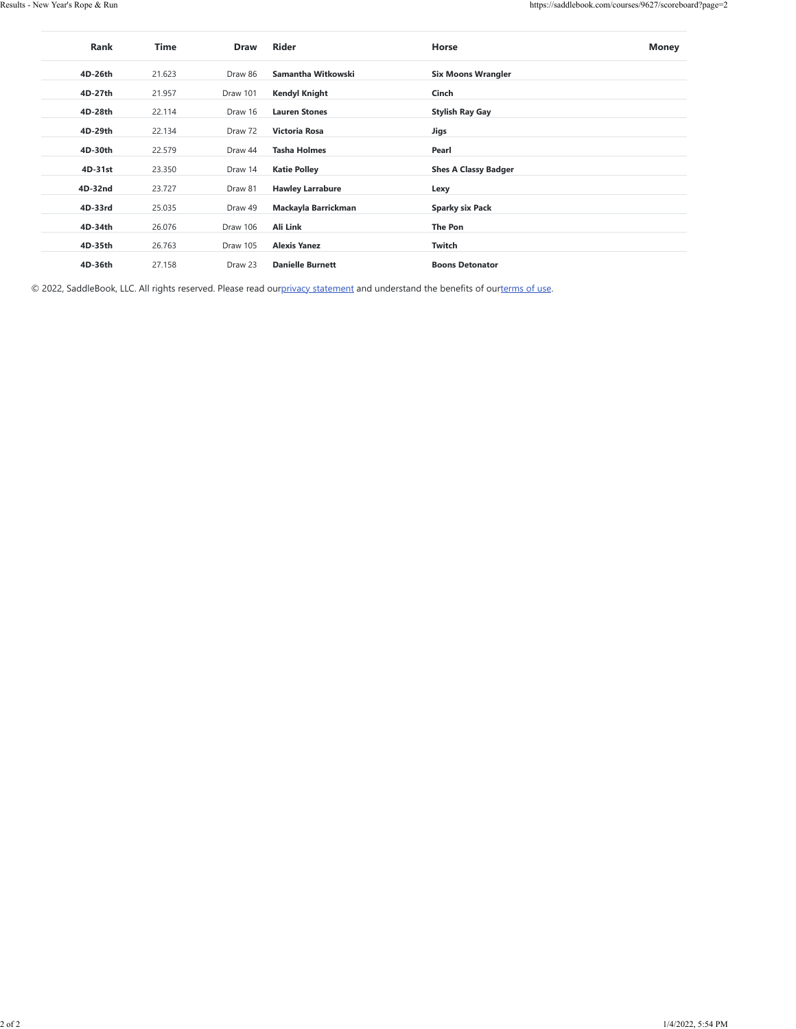| <b>Rank</b> | <b>Time</b> | <b>Draw</b> | <b>Rider</b>            | Horse                       | <b>Money</b> |
|-------------|-------------|-------------|-------------------------|-----------------------------|--------------|
| 4D-26th     | 21.623      | Draw 86     | Samantha Witkowski      | <b>Six Moons Wrangler</b>   |              |
| 4D-27th     | 21.957      | Draw 101    | <b>Kendyl Knight</b>    | Cinch                       |              |
| 4D-28th     | 22.114      | Draw 16     | <b>Lauren Stones</b>    | <b>Stylish Ray Gay</b>      |              |
| 4D-29th     | 22.134      | Draw 72     | <b>Victoria Rosa</b>    | Jigs                        |              |
| 4D-30th     | 22.579      | Draw 44     | <b>Tasha Holmes</b>     | Pearl                       |              |
| 4D-31st     | 23.350      | Draw 14     | <b>Katie Polley</b>     | <b>Shes A Classy Badger</b> |              |
| 4D-32nd     | 23.727      | Draw 81     | <b>Hawley Larrabure</b> | Lexy                        |              |
| 4D-33rd     | 25.035      | Draw 49     | Mackayla Barrickman     | <b>Sparky six Pack</b>      |              |
| 4D-34th     | 26.076      | Draw 106    | Ali Link                | The Pon                     |              |
| 4D-35th     | 26.763      | Draw 105    | <b>Alexis Yanez</b>     | Twitch                      |              |
| 4D-36th     | 27.158      | Draw 23     | <b>Danielle Burnett</b> | <b>Boons Detonator</b>      |              |

© 2022, SaddleBook, LLC. All rights reserved. Please read ou[rprivacy statement](https://saddlebook.com/privacy_policy) and understand the benefits of our[terms of use.](https://saddlebook.com/user_agreement)